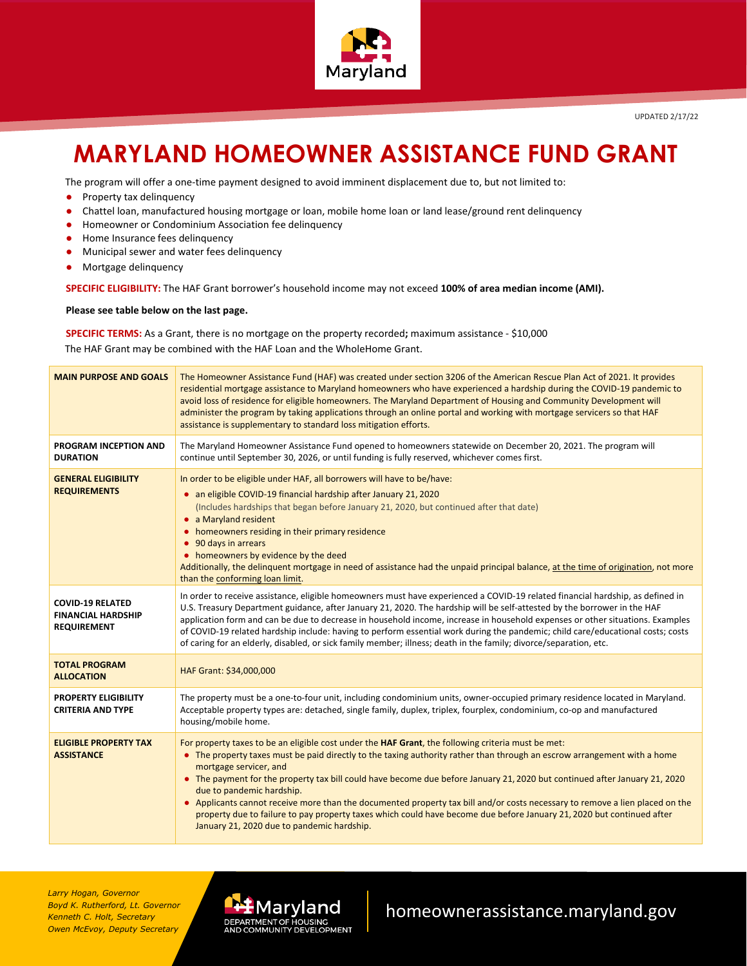

## **MARYLAND HOMEOWNER ASSISTANCE FUND GRANT**

The program will offer a one-time payment designed to avoid imminent displacement due to, but not limited to:

- Property tax delinquency
- Chattel loan, manufactured housing mortgage or loan, mobile home loan or land lease/ground rent delinquency
- Homeowner or Condominium Association fee delinquency
- Home Insurance fees delinquency
- Municipal sewer and water fees delinquency
- Mortgage delinquency

**SPECIFIC ELIGIBILITY:** The HAF Grant borrower's household income may not exceed **100% of area median income (AMI).** 

**Please see table below on the last page.**

**SPECIFIC TERMS:** As a Grant, there is no mortgage on the property recorded**;** maximum assistance - \$10,000 The HAF Grant may be combined with the HAF Loan and the WholeHome Grant.

| <b>MAIN PURPOSE AND GOALS</b>                                              | The Homeowner Assistance Fund (HAF) was created under section 3206 of the American Rescue Plan Act of 2021. It provides<br>residential mortgage assistance to Maryland homeowners who have experienced a hardship during the COVID-19 pandemic to<br>avoid loss of residence for eligible homeowners. The Maryland Department of Housing and Community Development will<br>administer the program by taking applications through an online portal and working with mortgage servicers so that HAF<br>assistance is supplementary to standard loss mitigation efforts.                                                                                                                                                    |  |  |  |  |  |
|----------------------------------------------------------------------------|--------------------------------------------------------------------------------------------------------------------------------------------------------------------------------------------------------------------------------------------------------------------------------------------------------------------------------------------------------------------------------------------------------------------------------------------------------------------------------------------------------------------------------------------------------------------------------------------------------------------------------------------------------------------------------------------------------------------------|--|--|--|--|--|
| PROGRAM INCEPTION AND<br><b>DURATION</b>                                   | The Maryland Homeowner Assistance Fund opened to homeowners statewide on December 20, 2021. The program will<br>continue until September 30, 2026, or until funding is fully reserved, whichever comes first.                                                                                                                                                                                                                                                                                                                                                                                                                                                                                                            |  |  |  |  |  |
| <b>GENERAL ELIGIBILITY</b><br><b>REQUIREMENTS</b>                          | In order to be eligible under HAF, all borrowers will have to be/have:<br>• an eligible COVID-19 financial hardship after January 21, 2020<br>(Includes hardships that began before January 21, 2020, but continued after that date)<br>• a Maryland resident<br>homeowners residing in their primary residence<br>90 days in arrears<br>• homeowners by evidence by the deed<br>Additionally, the delinguent mortgage in need of assistance had the unpaid principal balance, at the time of origination, not more<br>than the conforming loan limit.                                                                                                                                                                   |  |  |  |  |  |
| <b>COVID-19 RELATED</b><br><b>FINANCIAL HARDSHIP</b><br><b>REQUIREMENT</b> | In order to receive assistance, eligible homeowners must have experienced a COVID-19 related financial hardship, as defined in<br>U.S. Treasury Department guidance, after January 21, 2020. The hardship will be self-attested by the borrower in the HAF<br>application form and can be due to decrease in household income, increase in household expenses or other situations. Examples<br>of COVID-19 related hardship include: having to perform essential work during the pandemic; child care/educational costs; costs<br>of caring for an elderly, disabled, or sick family member; illness; death in the family; divorce/separation, etc.                                                                      |  |  |  |  |  |
| <b>TOTAL PROGRAM</b><br><b>ALLOCATION</b>                                  | HAF Grant: \$34,000,000                                                                                                                                                                                                                                                                                                                                                                                                                                                                                                                                                                                                                                                                                                  |  |  |  |  |  |
| <b>PROPERTY ELIGIBILITY</b><br><b>CRITERIA AND TYPE</b>                    | The property must be a one-to-four unit, including condominium units, owner-occupied primary residence located in Maryland.<br>Acceptable property types are: detached, single family, duplex, triplex, fourplex, condominium, co-op and manufactured<br>housing/mobile home.                                                                                                                                                                                                                                                                                                                                                                                                                                            |  |  |  |  |  |
| <b>ELIGIBLE PROPERTY TAX</b><br><b>ASSISTANCE</b>                          | For property taxes to be an eligible cost under the HAF Grant, the following criteria must be met:<br>The property taxes must be paid directly to the taxing authority rather than through an escrow arrangement with a home<br>mortgage servicer, and<br>• The payment for the property tax bill could have become due before January 21, 2020 but continued after January 21, 2020<br>due to pandemic hardship.<br>• Applicants cannot receive more than the documented property tax bill and/or costs necessary to remove a lien placed on the<br>property due to failure to pay property taxes which could have become due before January 21, 2020 but continued after<br>January 21, 2020 due to pandemic hardship. |  |  |  |  |  |

*Larry Hogan, Governor Boyd K. Rutherford, Lt. Governor Kenneth C. Holt, Secretary Owen McEvoy, Deputy Secretary*



homeownerassistance.maryland.gov